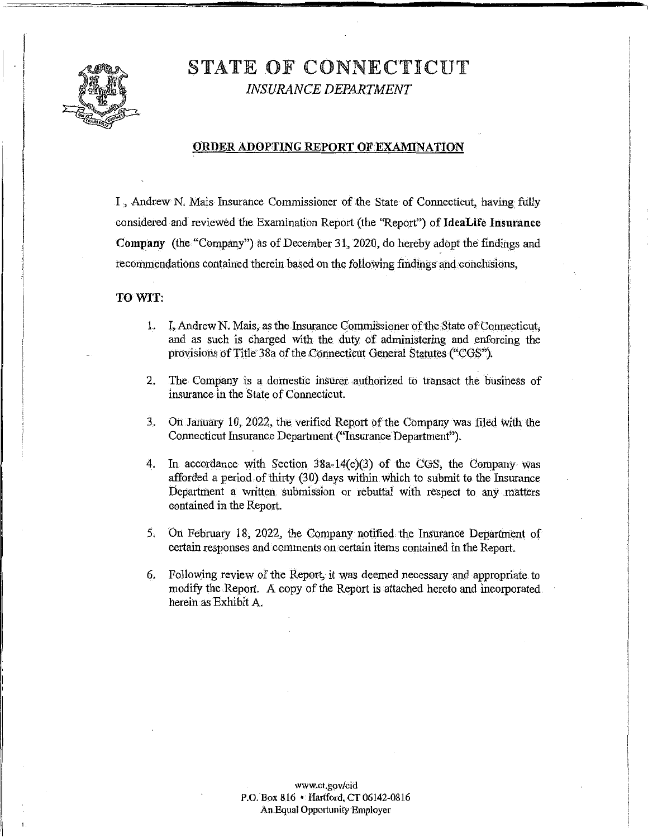

# STATE OF CONNECTICUT *INSURANCE DEPARTMENT*

#### **ORDER ADOPTING REPORT OF EXAMINATION**

I , Andrew N. Mais Insurance Commissioner of the State of Connecticut, having fully considered and reviewed the. Examination Report (the "Report") of **IdeaLife Insurance Company** (the "Company") as of December 31, 2020, do hereby adopt the findings and recommendations contained therein based on the follo\Ving findings and conclusions,

#### **TO WIT:**

- 1. I, Andrew N. Mais, as the Insurance Commissioner of the State of Connecticut, and as such is charged with the duty of administering and enforcing the provisions of Title 38a of the Connecticut General Statutes ("CGS").
- 2. The Company is a domestic insurer authorized to transact the business of insurance in the State of Connecticut.
- 3. OnJarmary 10, 2022, the verified Report *bf*the Company was filed with the Connecticut Insurance Department ("Insurance Department").
- 4. In accordance with Section 38a-14(e)(3) of the CGS, the Company was afforded a period of thirty (30) days within which to submit to the Insurance Department a written. submission or rebuttal with respect to any .matters contained in the Report.
- 5. On February 18, 2022, the Company notified the Insurance Department of certain responses and comments on certain items contained in the Report.
- 6. Following review of the Report, it was deemed necessary and appropriate to modify the Report. A copy of the Report is attached hereto and incorporated herein as Exhibit A.

<www.ct.gov/cid> P.O. Box 816 • Hartford, CT 06142-0816 An Equal Opportunity Employer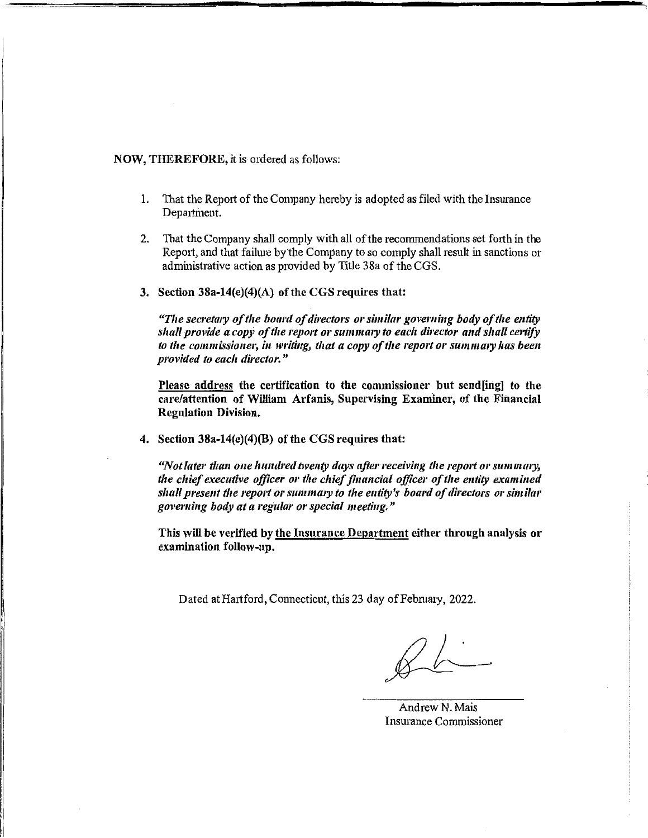## NOW, THEREFORE, it is ordered as follows:

- 1. That the Report of the Company hereby is adopted as filed with the Insurance Department.
- 2. That the Company shall comply with all of the recommendations set forth in the Rep01t, and that failure bythe Company to so comply shall result in sanctions or administrative action as provided by Title 38a of the CGS.
- 3. Section 38a-14(e)(4)(A) of the CGS requires that:

"The secretary of the board of directors or similar governing body of the entity shall provide a copy of the report or summary to each director and shall certify to the commissioner, in writing, that a copy of the report or summary has been *provided to each director."* 

Please address the certification to the commissioner but send[ing] to the care/attention of William Arfanis, Supervising Examiner, of the Financial Regulation Division.

4. Section 38a-14(e)(4)(B) of the CGS requires that:

"Not later than one hundred twenty days after receiving the report or summary, *the chief executive officer* 01· *the chief financial officer ofthe entity examined*  shall present the report or summary to the entity's board of directors or similar *govemi11g body at a regular or special meeting."* 

This will be verified by the Insurance Department either through analysis or examination follow-up.

Dated at Hartford, Connecticut, this 23 day of February, 2022.

Andrew N. Mais Insurance Commissioner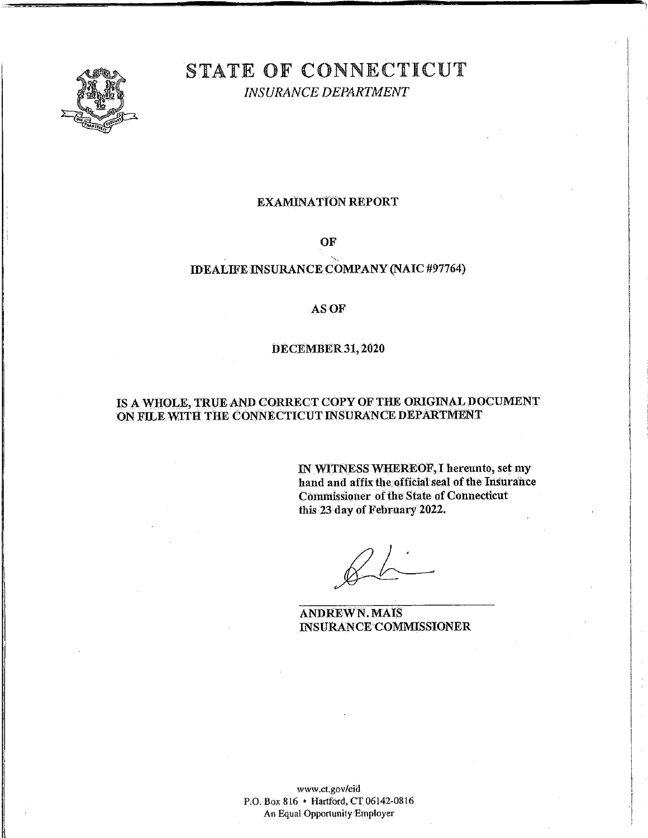

# STATE OF CONNECTICUT

*INSURANCE DEPARTMENT* 

# EXAMINATION REPORT

OF

# IDEALIFE INSURANCE COMPANY (NAIC #97764)

# ASOF

### DECEMBER31, 2020

# IS A WHOLE, TRUE AND CORRECT COPY OF THE ORIGINAL DOCUMENT ON FILE WITH THE CONNECTICUT INSURANCE DEPARTMENT

IN WITNESS WHEREOF,l hereunto, set my hand and affix the official seal of the Insurance Commissioner of the State of Connecticut this 23day of February 2022.

ANDREWN. MAIS INSURANCE COMMISSIONER

<www.ct.gov/cid> P.O. Box 816 • Hartford, CT 06142-0816 An Equal Opportunity Employer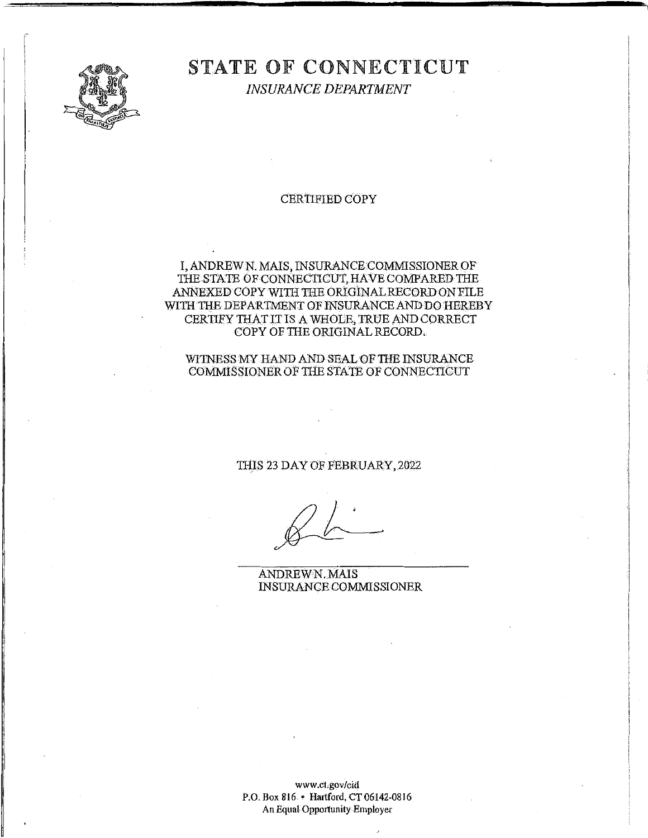

# STATE OF CONNECTICUT

*INSURANCE DEPARTMENT* 

# CERTIFIED COPY

## I, ANDREWN. MAIS, INSURANCECOMMISSIONEROF THE STATE OF CONNECTICUT, HAVE COMPARED THE ANNEXED COPY WITH THE ORIGINAL RECORD ON FILE WITH THE DEPARTMENT OF INSURANCE AND DO HEREBY CERTIFY THAT IT IS A WHOLE, TRUE AND CORRECT COPYOFIBE ORIGINALRECORD.

#### WITNESS MY HAND AND SEAL OF THE INSURANCE COMMISSIONER OF THE STATE OF CONNECTICUT

#### THIS 23 DAYOFFEBRUARY,2022

ANDREWN.MAIS INSURANCE COMMISSIONER

<www.ct.gov/cid> P.O. Box 816 • Hartford, CT06142-0816 An Equal Opportunity Employer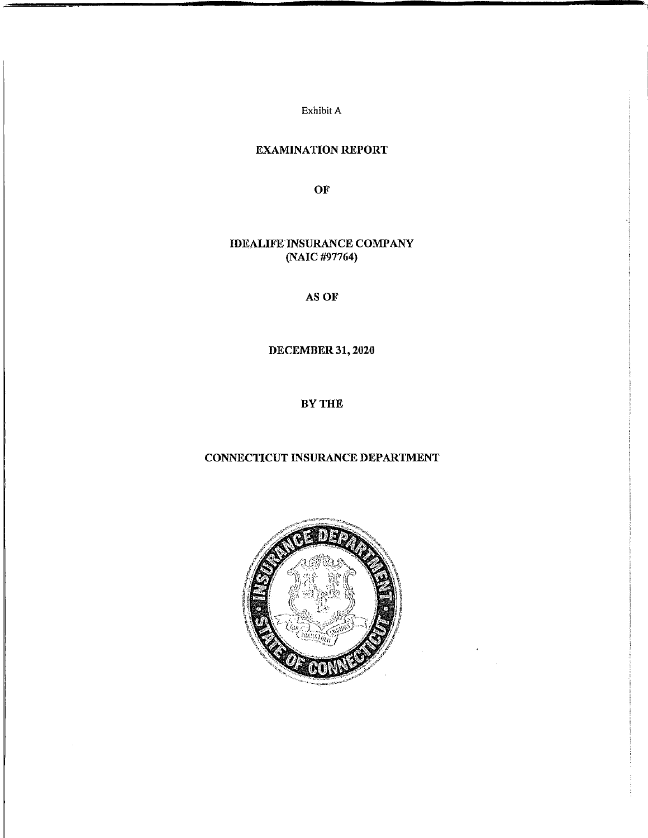Exhibit A

# EXAMINATION REPORT

**OF** 

# IDEALIFE INSURANCE COMPANY (NAIC #97764)

ASOF

DECEMBER 31, 2020

BY THE

# CONNECTICUT INSURANCE DEPARTMENT

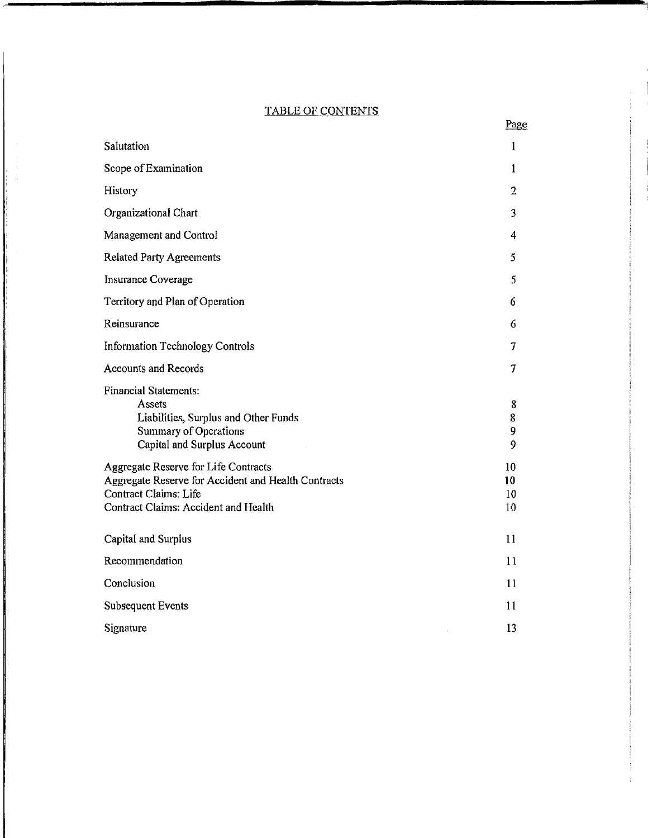# TABLE OF CONTENTS

Page

| Salutation                                                                                                                                                   | 1                    |
|--------------------------------------------------------------------------------------------------------------------------------------------------------------|----------------------|
| Scope of Examination                                                                                                                                         | 1                    |
| <b>History</b>                                                                                                                                               | $\overline{2}$       |
| Organizational Chart                                                                                                                                         | 3                    |
| Management and Control                                                                                                                                       | 4                    |
| <b>Related Party Agreements</b>                                                                                                                              | 5                    |
| <b>Insurance Coverage</b>                                                                                                                                    | 5                    |
| Territory and Plan of Operation                                                                                                                              | 6                    |
| Reinsurance                                                                                                                                                  | 6                    |
| <b>Information Technology Controls</b>                                                                                                                       | 7                    |
| <b>Accounts and Records</b>                                                                                                                                  | 7                    |
| <b>Financial Statements:</b><br>Assets<br>Liabilities, Surplus and Other Funds<br>Summary of Operations<br><b>Capital and Surplus Account</b>                | 8<br>8<br>9<br>9     |
| Aggregate Reserve for Life Contracts<br>Aggregate Reserve for Accident and Health Contracts<br>Contract Claims: Life<br>Contract Claims: Accident and Health | 10<br>10<br>10<br>10 |
| Capital and Surplus                                                                                                                                          | 11                   |
| Recommendation                                                                                                                                               | 11                   |
| Conclusion                                                                                                                                                   | 11                   |
| <b>Subsequent Events</b>                                                                                                                                     | 11                   |
| Signature                                                                                                                                                    | 13                   |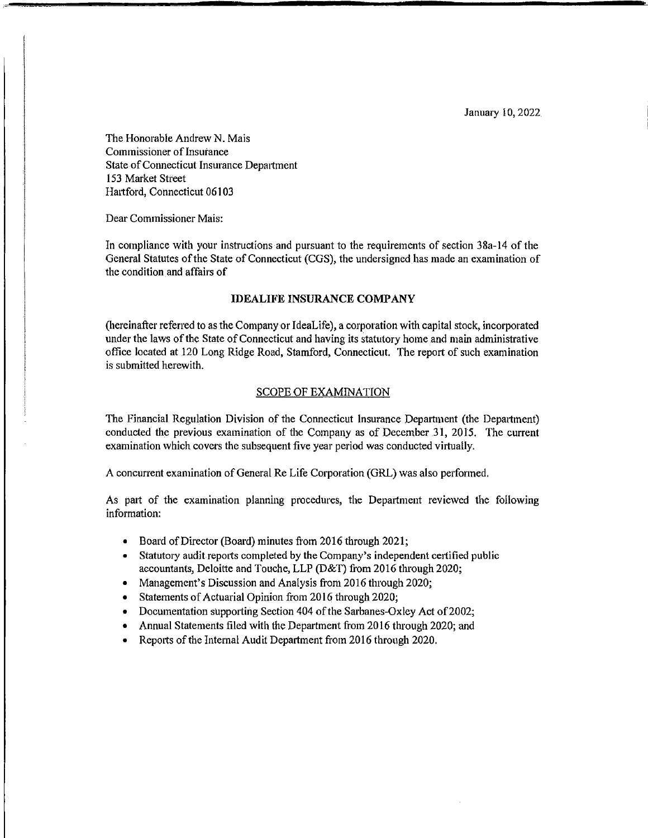January l0, 2022

The Honorable Andrew N. Mais Commissioner of Insurance State of Connecticut Insurance Department 153 Market Street Hartford, Connecticut 06103

Dear Commissioner Mais:

In compliance with your instructions and pursuant to the requirements of section 38a-14 of the General Statutes of the State of Connecticut (CGS), the undersigned has made an examination of the condition and affairs of

#### **IDEALIFE INSURANCE COMPANY**

(hereinafter referred to as the Company or IdeaLife), a corporation with capital stock, incorporated under the laws of the State of Connecticut and having its statutory home and main administrative office located at 120 Long Ridge Road, Stamford, Connecticut. The report of such examination is submitted herewith.

#### SCOPE OF EXAMINATION

The Financial Regulation Division of the Connecticut Insurance Department (the Department) conducted the previous examination of the Company as of December 31, 2015. The current examination which covers the subsequent five year period was conducted virtually.

A concurrent examination ofGeneral Re Life Corporation (GRL) was also performed.

As patt of the examination planning procedures, the Department reviewed the following information:

- Board ofDirector (Board) minutes from 2016 through 2021;
- Statutory audit repotts completed by the Company's independent certified public accountants, Deloitte and Touche, LLP (D&T) from 2016 through 2020;
- Management's Discussion and Analysis from 2016 through 2020;
- Statements of Actuarial Opinion from 2016 through 2020;
- Documentation supporting Section 404 of the Sarbanes-Oxley Act of 2002;
- Annual Statements filed with the Department from 2016 through 2020; and
- Reports of the Internal Audit Department from 2016 through 2020.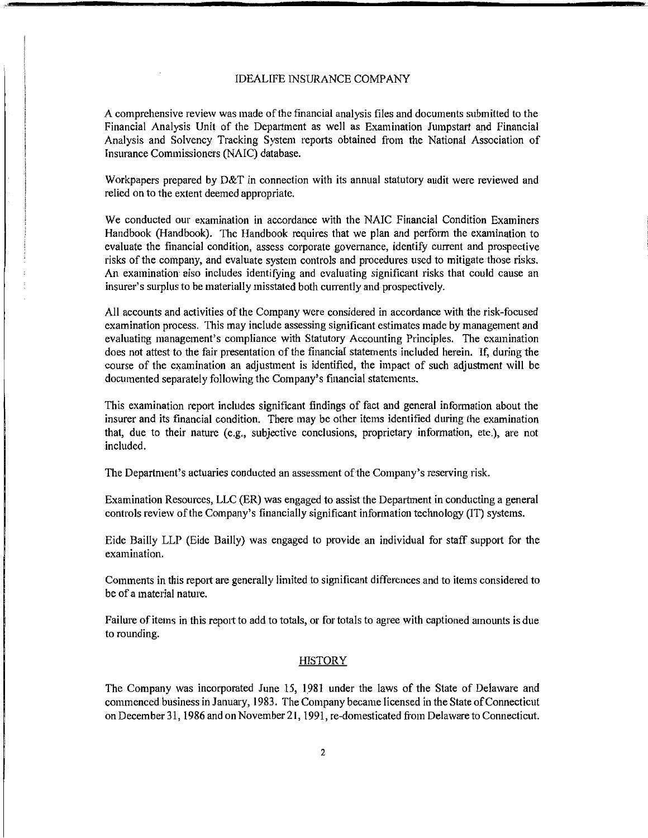A comprehensive review was made ofthe financial analysis files and documents submitted to the Financial Analysis Unit of the Department as well as Examination Jumpstart and Financial Analysis and Solvency Tracking System reports obtained from the National Association of Insurance Commissioners (NAIC) database.

Workpapers prepared by D&T in connection with its annual statutory audit were reviewed and relied on to the extent deemed appropriate.

We conducted our examination in accordance with the NAIC Financial Condition Examiners Handbook (Handbook). The Handbook requires that we plan and perform the examination to evaluate the financial condition, assess corporate governance, identify current and prospective risks of the company, and evaluate system controls and procedures used to mitigate those risks. An examination also includes identifying and evaluating significant risks that could cause an insurer's surplus to be materially misstated both currently and prospectively.

All accounts and activities ofthe Company were considered in accordance with the risk-focused examination process. This may include assessing significant estimates made by management and evaluating management's compliance with Statutory Accounting Principles. The examination does not attest to the fair presentation of the financial statements included herein. If, during the course of the examination an adjustment is identified, the impact of such adjustment will be documented separately following the Company's financial statements.

This examination report includes significant findings of fact and general information about the insurer and its financial condition. There may be other items identified during the examination that, due to their nature (e.g., subjective conclusions, proprietary information, etc.), are not included.

The Department's actuaries conducted an assessment of the Company's reserving risk.

Examination Resources, LLC (ER) was engaged to assist the Department in conducting a general controls review of the Company's financially significant information technology (IT) systems.

Eide Bailly LLP (Eide Bailly) was engaged to provide an individual for staff suppott for the examination.

Comments in this report are generally limited to significant differences and to items considered to be of a material nature.

Failure of items in this report to add to totals, or for totals to agree with captioned amounts is due to rounding.

#### HISTORY

The Company was incorporated June 15, 1981 under the laws of the State of Delaware and commenced business in January, 1983. The Company became licensed in the State of Connecticut on December 31, I986 and on November 21, 1991, re-domesticated from Delaware to Connecticut.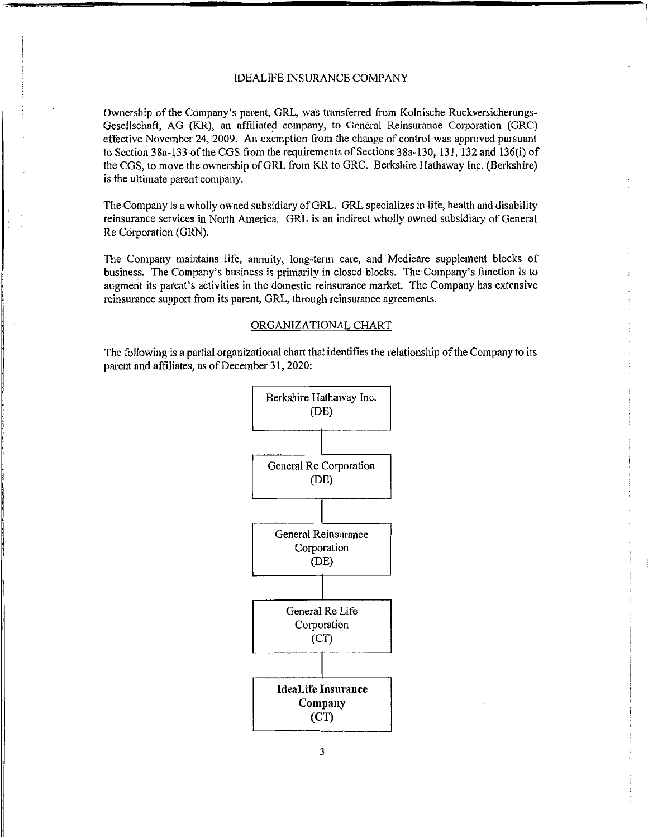Ownership of the Company's parent, GRL, was transferred from Kolnische Ruckversicherungs-Gesellschaft, AG (KR), an affiliated company, to General Reinsurance Corporation (GRC) effective November 24, 2009. An exemption from the change of control was approved pursuant to Section 38a-133 of the CGS from the requirements of Sections 38a-130, 131, 132 and 136(i) of the COS, to move the ownership ofGRL from KR to GRC. Berkshire Hathaway Inc. (Berkshire) is the ultimate parent company.

The Company is a wholly owned subsidiary of GRL. GRL specializes in life, health and disability reinsurance services in North America. GRL is an indirect wholly owned subsidiary of General Re Corporation (GRN).

The Company maintains life, annuity, long-term care, and Medicare supplement blocks of business. The Company's business is primarily in closed blocks. The Company's function is to augment its parent's activities in the domestic reinsurance market. The Company has extensive reinsurance support from its parent, GRL, through reinsurance agreements.

#### ORGANIZATIONAL CHART

The following is a partial organizational chart that identifies the relationship of the Company to its parent and affiliates, as of December 31, 2020:

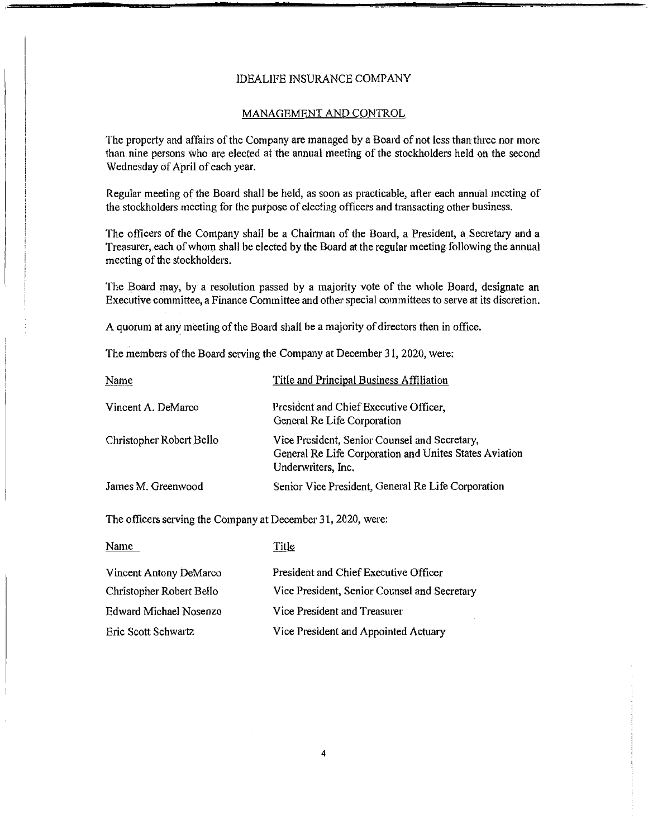#### MANAGEMENT AND CONTROL

The property and affairs of the Company are managed by a Board of not less than three nor more than nine persons who are elected at the annual meeting of the stockholders held on the second Wednesday of April of each year.

Regular meeting of the Board shall be held, as soon as practicable, after each annual meeting of the stockholders meeting for the purpose of electing officers and transacting other business.

The officers of the Company shall be a Chairman of the Board, a President, a Secretary and a Treasurer, each of whom shall be elected by the Board at the regular meeting following the annual meeting of the stockholders.

The Board may, by a resolution passed by a majority vote of the whole Board, designate an Executive committee, a Finance Committee and other special committees to serve at its discretion.

A quorum at any meeting of the Board shall be a majority of directors then in office.

The members of the Board serving the Company at December 31, 2020, were:

| Name                     | Title and Principal Business Affiliation                                                                                      |
|--------------------------|-------------------------------------------------------------------------------------------------------------------------------|
| Vincent A. DeMarco       | President and Chief Executive Officer,<br>General Re Life Corporation                                                         |
| Christopher Robert Bello | Vice President, Senior Counsel and Secretary,<br>General Re Life Corporation and Unites States Aviation<br>Underwriters, Inc. |
| James M. Greenwood       | Senior Vice President, General Re Life Corporation                                                                            |

The officers serving the Company at December 31, 2020, were:

| Name                     | Title                                        |
|--------------------------|----------------------------------------------|
| Vincent Antony DeMarco   | President and Chief Executive Officer        |
| Christopher Robert Bello | Vice President, Senior Counsel and Secretary |
| Edward Michael Nosenzo   | Vice President and Treasurer                 |
| Eric Scott Schwartz      | Vice President and Appointed Actuary         |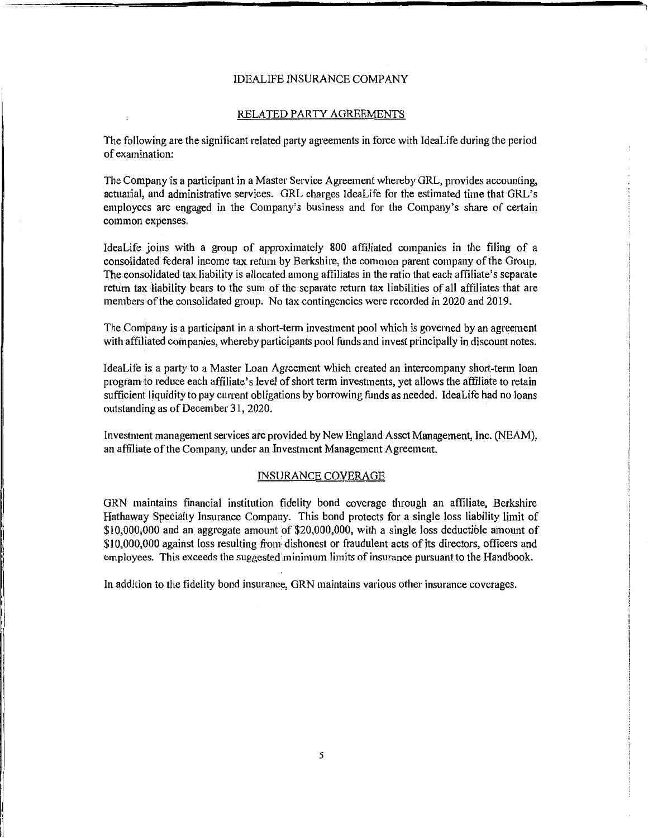#### RELATED PARTY AGREEMENTS

The following are the significant related party agreements in force with IdeaLife during the period of examination:

The Company is a participant in a Master Service Agreement whereby GRL, provides accounting, actuarial, and administrative services. GRL charges IdeaLife for the estimated time that GRL's employees are engaged in the Company's business and for the Company's share of certain common expenses.

IdeaLife joins with a group of approximately 800 affiliated companies in the filing of a consolidated federal income tax return by Berkshire, the common parent company of the Group. The consolidated tax liability is allocated among affiliates in the ratio that each affiliate's separate return tax liability bears to the sum of the separate return tax liabilities of all affiliates that are members ofthe consolidated group. No tax contingencies were recorded in 2020 and 2019.

The.Contpany is a participant in a short-term investment pool which is governed by an agreement with affiliated companies, whereby participants pool funds and invest principally in discount notes.

IdeaLife is a party to a Master Loan Agreement which created an intercompany short-term loan program to reduce each affiliate's level of short term investments, yet allows the affiliate to retain sufficient liquidity to pay current obligations by borrowing funds as needed. ldeaLife had no loans outstanding as of December 31, 2020.

Investment management services are provided by New England Asset Management, Inc. (NEAM), an affiliate of the Company, under an Investment Management Agreement.

#### INSURANCE COVERAGE

GRN maintains financial institution fidelity bond coverage through an affiliate, Berkshire Hathaway Specialty Insurance Company. This bond protects for a single loss liability limit of \$10,000,000 and an aggregate amount of \$20,000,000, with a single loss deductible amount of \$10,000,000 against loss resulting from dishonest or fraudulent acts of its directors, officers and employees. This exceeds the suggested minimum limits of insurance pursuant to the Handbook.

In addition to the fidelity bond insurance, ORN maintains various other insurance coverages.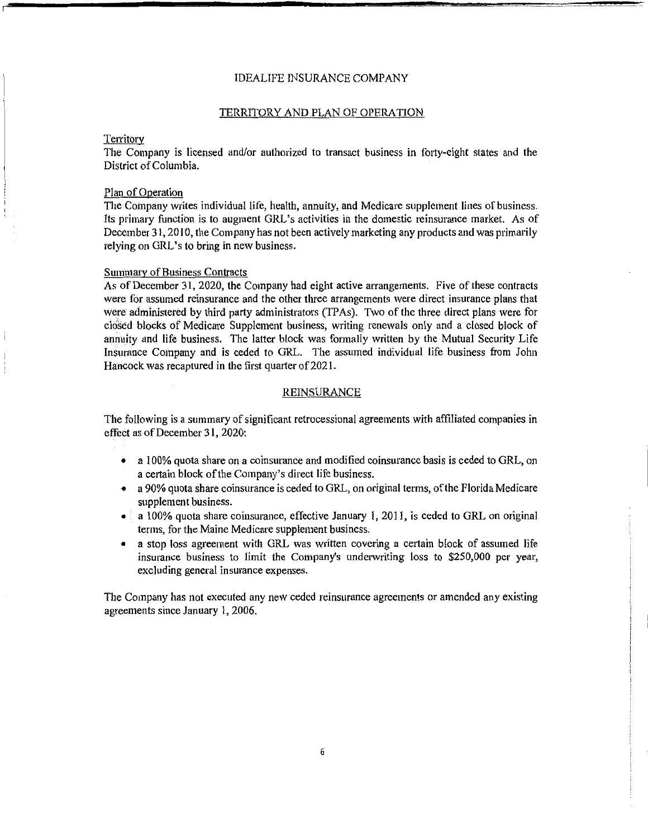#### TERRITORY AND PLAN OF OPERATION

#### **Territory**

The Company is licensed and/or authorized to transact business in forty-eight states and the District of Columbia.

#### Plan of Operation

The Company writes individual life, health, annuity, and Medicare supplement lines of business. Its primary function is to augment GRL's activities in the domestic reinsurance market. As of December 31, 2010, the Company has not been actively marketing any products and was primarily relying on GRL's to bring in new business.

#### Summary of Business Contracts

As of December 31, 2020, the Company had eight active arrangements. Five of these contracts were for assumed reinsurance and the other three arrangements were direct insurance plans that were administered by third party administrators (TPAs). Two of the three direct plans were for closed blocks of Medicare Supplement business, writing renewals only and a closed block of annuity and life business. The latter block was formally written by the Mutual Security Life Insurance Company and is ceded to GRL. The assumed individual life business from John Hancock was recaptured in the first quarter of 2021.

#### REINSURANCE

The following is a summary of significant retrocessional agreements with affiliated companies in effect as of December 31, 2020:

- a 100% quota share on a coinsurance and modified coinsurance basis is ceded to GRL, on a certain block ofthe Company's direct life business.
- a 90% quota share coinsurance is ceded to GRL, on original terms, ofthe Florida Medicare supplement business.
- a 100% quota share coinsurance, effective January 1, 2011, is ceded to GRL on original terms, for the Maine Medicare supplement business.
- a stop loss agreement with GRL was written covering a certain block of assumed life insurance business to limit the Company's underwriting loss to \$250,000 per year, excluding general insurance expenses.

The Company has not executed any new ceded reinsurance agreements or amended any existing agreements since January 1, 2006.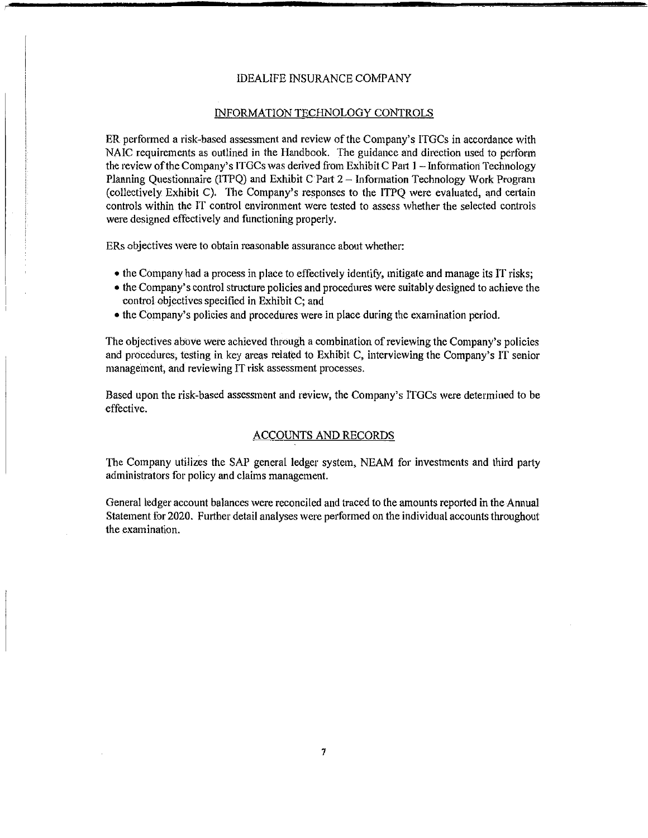#### INFORMATION TECHNOLOGY CONTROLS

ER performed a risk-based assessment and review of the Company's ITGCs in accordance with NAIC requirements as outlined in the Handbook. The guidance and direction used to perform the review ofthe Company's ITGCs was derived from Exhibit C Part 1 - Information Technology Planning Questionnaire (ITPQ) and Exhibit C Part 2 - Information Technology Work Program (collectively Exhibit C). The Company's responses to the ITPQ were evaluated, and certain controls within the IT control environment were tested to assess whether the selected controls were designed effectively and functioning properly.

ERs objectives were to obtain reasonable assurance about whether:

- the Company had a process in place to effectively identify, mitigate and manage its IT risks;
- the Company's control structure policies and procedures were suitably designed to achieve the control objectives specified in Exhibit C; and
- the Company's policies and procedures were in place during the examination period.

The objectives above were achieved through a combination ofreviewing the Company's policies and procedures, testing in key areas related to Exhibit C, interviewing the Company's IT senior management, and reviewing IT risk assessment processes.

Based upon the risk-based assessment and review, the Company's ITGCs were determined to be effective.

#### ACCOUNTS AND RECORDS

The Company utilizes the SAP general ledger system, NEAM for investments and third party administrators for policy and claims management.

General ledger account balances were reconciled and traced to the amounts reported in the Annual Statement for 2020. Further detail analyses were performed on the individual accounts throughout the examination.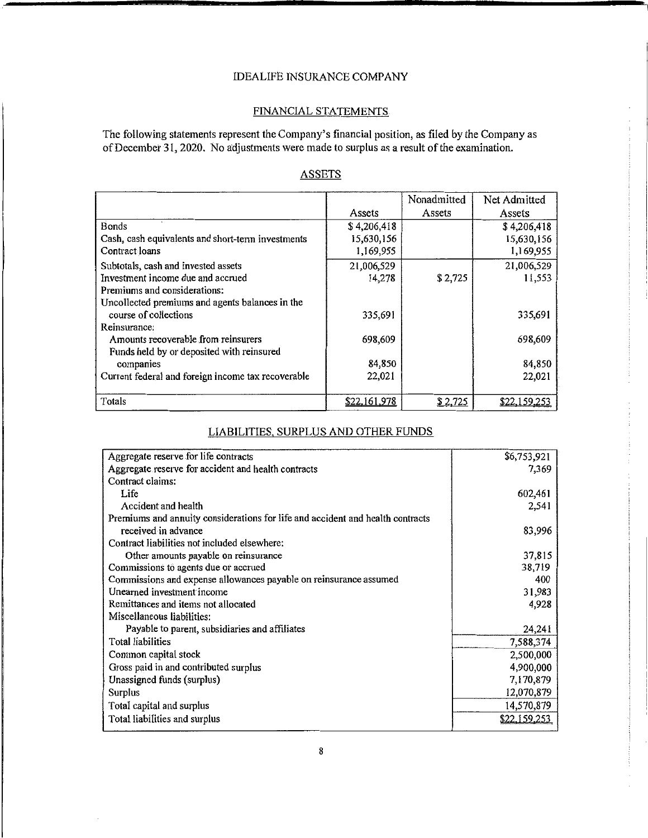#### FINANCIAL STATEMENTS

The following statements represent the Company's financial position, as filed by the Company as of December 31, 2020. No adjustments were made to surplus as a result of the examination.

|                                                    |              | Nonadmitted | Net Admitted |
|----------------------------------------------------|--------------|-------------|--------------|
|                                                    | Assets       | Assets      | Assets       |
| <b>Bonds</b>                                       | \$4,206,418  |             | \$4,206,418  |
| Cash, cash equivalents and short-term investments  | 15,630,156   |             | 15,630,156   |
| Contract loans                                     | 1,169,955    |             | 1,169,955    |
| Subtotals, cash and invested assets                | 21,006,529   |             | 21,006,529   |
| Investment income due and accrued                  | 14,278       | \$2,725     | 11,553       |
| Premiums and considerations:                       |              |             |              |
| Uncollected premiums and agents balances in the    |              |             |              |
| course of collections                              | 335,691      |             | 335,691      |
| Reinsurance:                                       |              |             |              |
| Amounts recoverable from reinsurers                | 698,609      |             | 698,609      |
| Funds held by or deposited with reinsured          |              |             |              |
| companies                                          | 84,850       |             | 84,850       |
| Current federal and foreign income tax recoverable | 22,021       |             | 22,021       |
|                                                    |              |             |              |
| Totals                                             | \$22,161,978 | \$2,725     | \$22.159.25. |

# **ASSETS**

## LIABILITIES, SURPLUS AND OTHER FUNDS

| Aggregate reserve for life contracts                                           | \$6,753,921  |
|--------------------------------------------------------------------------------|--------------|
| Aggregate reserve for accident and health contracts                            | 7,369        |
| Contract claims:                                                               |              |
| Life                                                                           | 602,461      |
| Accident and health                                                            | 2,541        |
| Premiums and annuity considerations for life and accident and health contracts |              |
| received in advance                                                            | 83,996       |
| Contract liabilities not included elsewhere:                                   |              |
| Other amounts payable on reinsurance                                           | 37,815       |
| Commissions to agents due or accrued                                           | 38,719       |
| Commissions and expense allowances payable on reinsurance assumed              | 400          |
| Unearned investment income                                                     | 31,983       |
| Remittances and items not allocated                                            | 4,928        |
| Miscellaneous liabilities:                                                     |              |
| Payable to parent, subsidiaries and affiliates                                 | 24,241       |
| <b>Total liabilities</b>                                                       | 7,588,374    |
| Common capital stock                                                           | 2,500,000    |
| Gross paid in and contributed surplus                                          | 4,900,000    |
| Unassigned funds (surplus)                                                     | 7,170,879    |
| <b>Surplus</b>                                                                 | 12,070,879   |
| Total capital and surplus                                                      | 14,570,879   |
| Total liabilities and surplus                                                  | \$22,159,253 |
|                                                                                |              |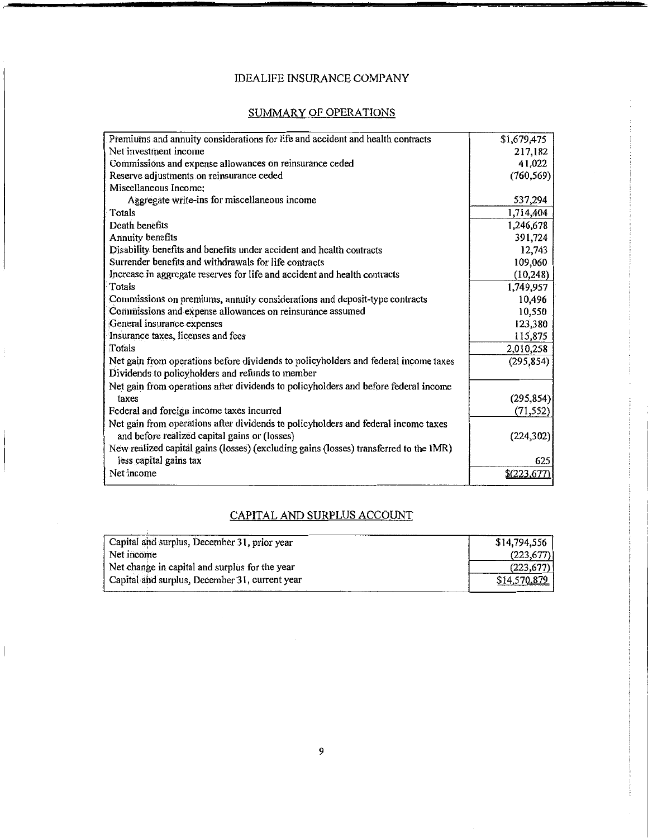# SUMMARY OF OPERATIONS

| Premiums and annuity considerations for life and accident and health contracts        | \$1,679,475  |
|---------------------------------------------------------------------------------------|--------------|
| Net investment income                                                                 | 217,182      |
| Commissions and expense allowances on reinsurance ceded                               | 41,022       |
| Reserve adjustments on reinsurance ceded                                              | (760, 569)   |
| Miscellaneous Income:                                                                 |              |
| Aggregate write-ins for miscellaneous income                                          | 537,294      |
| Totals                                                                                | 1,714,404    |
| Death benefits                                                                        | 1,246,678    |
| <b>Annuity benefits</b>                                                               | 391,724      |
| Disability benefits and benefits under accident and health contracts                  | 12,743       |
| Surrender benefits and withdrawals for life contracts                                 | 109,060      |
| Increase in aggregate reserves for life and accident and health contracts             | (10, 248)    |
| Totals                                                                                | 1,749,957    |
| Commissions on premiums, annuity considerations and deposit-type contracts            | 10,496       |
| Commissions and expense allowances on reinsurance assumed                             | 10,550       |
| General insurance expenses                                                            | 123,380      |
| Insurance taxes, licenses and fees                                                    | 115,875      |
| Totals                                                                                | 2,010,258    |
| Net gain from operations before dividends to policyholders and federal income taxes   | (295, 854)   |
| Dividends to policyholders and refunds to member                                      |              |
| Net gain from operations after dividends to policyholders and before federal income   |              |
| taxes                                                                                 | (295, 854)   |
| Federal and foreign income taxes incurred                                             | (71, 552)    |
| Net gain from operations after dividends to policyholders and federal income taxes    |              |
| and before realized capital gains or (losses)                                         | (224, 302)   |
| New realized capital gains (losses) (excluding gains (losses) transferred to the IMR) |              |
| less capital gains tax                                                                | 625          |
| Net income                                                                            | \$(223, 677) |
|                                                                                       |              |

# CAPITAL AND SURPLUS ACCOUNT

| Capital and surplus, December 31, prior year   | \$14,794,556 |
|------------------------------------------------|--------------|
| Net income                                     | (223.677)    |
| Net change in capital and surplus for the year | (223, 677)   |
| Capital and surplus, December 31, current year | \$14,570,879 |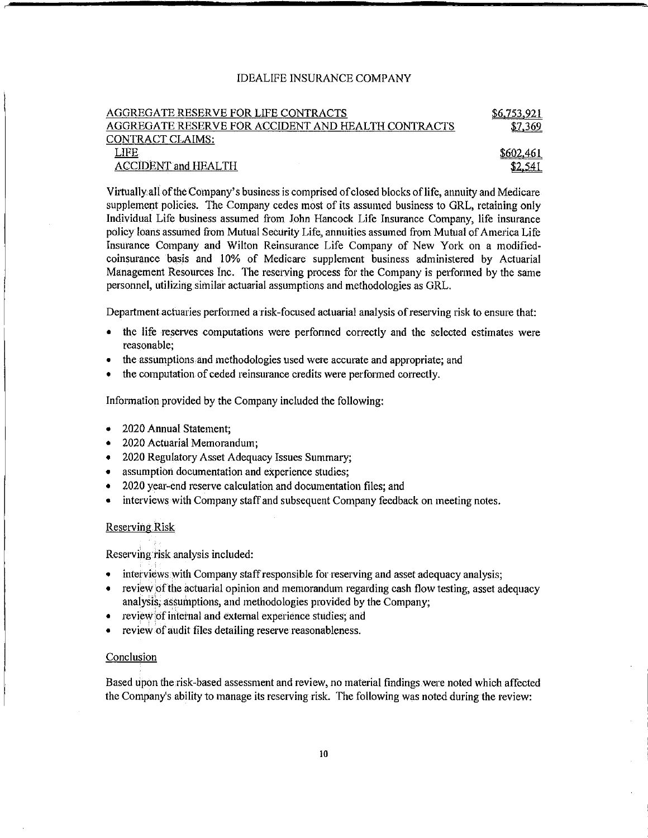| AGGREGATE RESERVE FOR LIFE CONTRACTS                | \$6,753,921 |
|-----------------------------------------------------|-------------|
| AGGREGATE RESERVE FOR ACCIDENT AND HEALTH CONTRACTS | \$7,369     |
| CONTRACT CLAIMS:                                    |             |
| LIFE.                                               | \$602.46.   |
| <b>ACCIDENT and HEALTH</b>                          |             |

Virtually.all ofthe Company's business is comprised ofclosed blocks oflife, annuity and Medicare supplement policies. The Company cedes most of its assumed business to GRL, retaining only Individual Life business assumed from John Hancock Life Insurance Company, life insurance policy loans assumed from Mutual Security Life, annuities assumed from Mutual of America Life Insurance Company and Wilton Reinsurance Life Company of New York on a modifiedcoinsurance basis and 10% of Medicare supplement business administered by Actuarial Management Resources Inc. The reserving process for the Company is performed by the same personnel, utilizing similar actuarial assumptions and methodologies as GRL.

Department actuaries performed a risk-focused actuarial analysis ofreserving risk to ensure that:

- the life reserves computations were perfonned correctly and the selected estimates were reasonable;
- the assumptions and methodologies used were accurate and appropriate; and
- the computation of ceded reinsurance credits were performed correctly.

Information provided by the Company included the following:

- 2020 Annual Statement;
- 2020 Actuarial Memorandum;
- 2020 Regulatory Asset Adequacy Issues Summary;
- assumption documentation and experience studies;
- 2020 yeal'-end reserve calculation and documentation files; and
- interviews with Company staff and subsequent Company feedback on meeting notes.

#### Reserving.Risk

Reserving risk analysis included:

- interviews with Company staff responsible for reserving and asset adequacy analysis;
- review of the actuarial opinion and memorandum regarding cash flow testing, asset adequacy analysis; assumptions, and methodologies provided by the Company;
- review of internal and external experience studies; and
- review of audit files detailing reserve reasonableness.

#### Conclusion

Based upon the risk-based assessment and review, no material findings were noted which affected the Company's ability to manage its reserving risk. The following was noted during the review: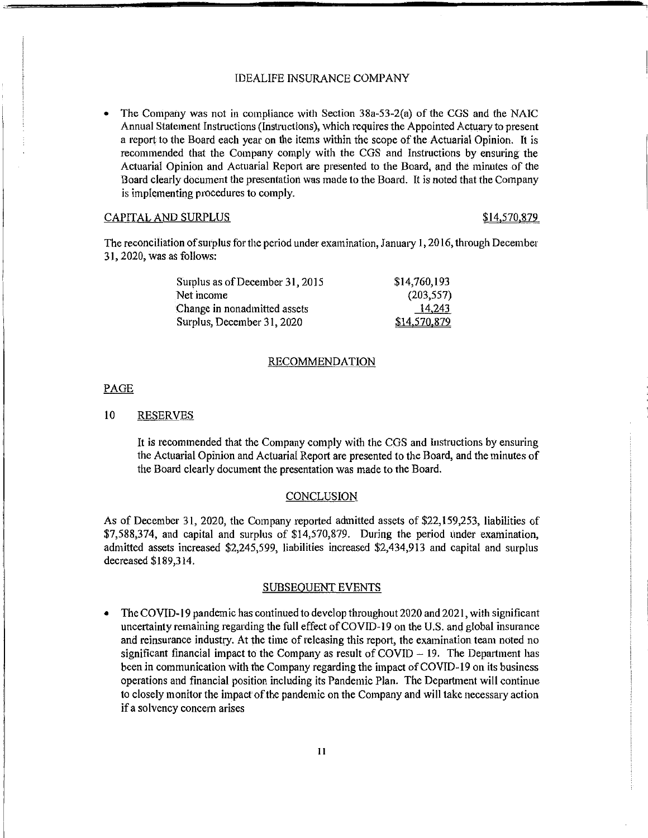• The Company was not in compliance with Section 38a-53-2(a) of the CGS and the NAIC Annual Statement Instructions (Instructions), which requires the Appointed Actuary to present a report to the Board each year on the items within the scope of the Actuarial Opinion. It is recommended that the Company comply with the CGS and Instructions by ensuring the Actuarial Opinion and Actuarial Report are presented to the Board, and the minutes of the Board clearly document the presentation was made to the Board. It is noted that the Company is implementing procedures to comply.

#### CAPITAL AND SURPLUS  $$14,570,879$

The reconciliation ofsurplus for the period under examination, January 1, 2016, through December 31, 2020, was as follows:

| Surplus as of December 31, 2015 | \$14,760,193 |
|---------------------------------|--------------|
| Net income                      | (203, 557)   |
| Change in nonadmitted assets    | 14.243       |
| Surplus, December 31, 2020      | \$14,570,879 |

#### RECOMMENDATION

#### PAGE

#### 10 RESERVES

It is recommended that the Company comply with the CGS and Instructions by ensuring the Actuarial Opinion and Actuarial Report are presented to the Board, and the minutes of the Board clearly document the presentation was made to the Board.

#### CONCLUSION

As of December 31, 2020, the Company reported admitted assets of \$22,159,253, liabilities of \$7,588,374, and capital and surplus of \$14,570,879. During the period under examination, admitted assets increased \$2,245,599, liabilities increased \$2,434,913 and capital and surplus decreased \$189,314.

#### SUBSEQUENT EVENTS

• The COVID-19 pandemic has continued to develop throughout 2020 and 2021, with significant uncertainty remaining regarding the full effect ofCOVID-19 on the U.S. and global insurance and reinsurance industry. At the time of releasing this report, the examination team noted no significant financial impact to the Company as result of  $COVID - 19$ . The Department has been in communication with the Company regarding the impact ofCOVID-19 on its business operations and financial position including its Pandemic Plan. The Department will continue to closely monitor the impact ofthe pandemic on the Company and will take necessary action if a solvency concern arises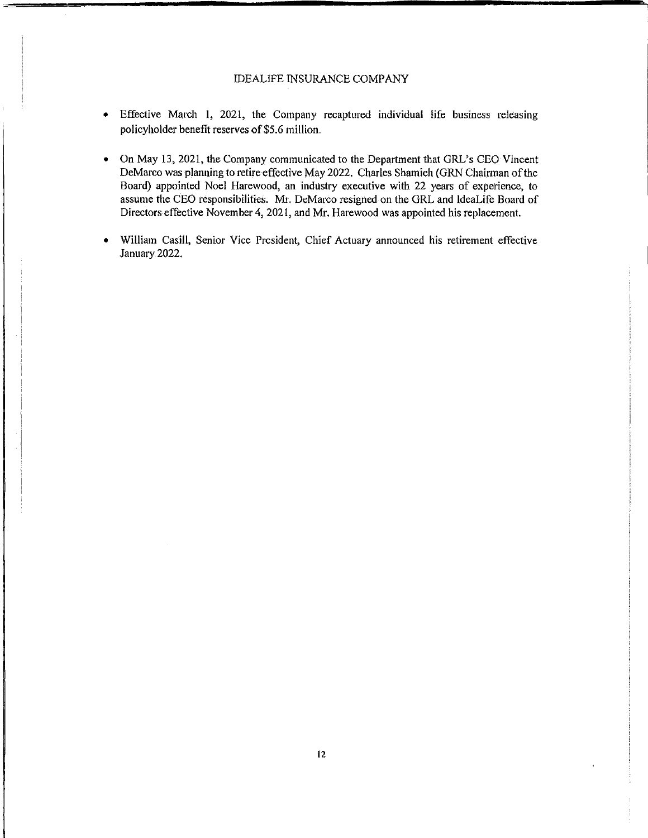- Effective March 1, 2021, the Company recaptured individual life business releasing policyholder benefit reserves of\$5.6 million.
- On May 13, 2021, the Company communicated to the Department that GRL's CEO Vincent DeMarco was planning to retire effective May 2022. Charles Shamieh (GRN Chairman ofthe Board) appointed Noel Harewood, an industry executive with 22 years of experience, to assume the CEO responsibilities. Mr. DeMarco resigned on the GRL and ldeaLife Board of Directors effective November 4, 2021, and Mr. Harewood was appointed his replacement.
- William Casill, Senior Vice President, Chief Actuary announced his retirement effective January 2022.